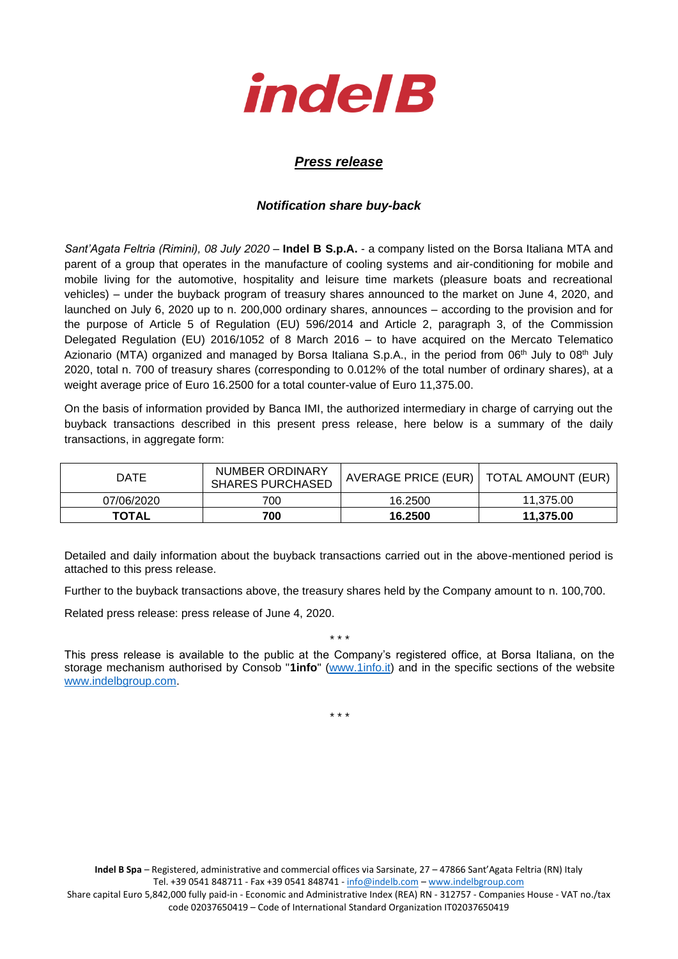

## *Press release*

## *Notification share buy-back*

*Sant'Agata Feltria (Rimini), 08 July 2020* – **Indel B S.p.A.** - a company listed on the Borsa Italiana MTA and parent of a group that operates in the manufacture of cooling systems and air-conditioning for mobile and mobile living for the automotive, hospitality and leisure time markets (pleasure boats and recreational vehicles) – under the buyback program of treasury shares announced to the market on June 4, 2020, and launched on July 6, 2020 up to n. 200,000 ordinary shares, announces – according to the provision and for the purpose of Article 5 of Regulation (EU) 596/2014 and Article 2, paragraph 3, of the Commission Delegated Regulation (EU) 2016/1052 of 8 March 2016 – to have acquired on the Mercato Telematico Azionario (MTA) organized and managed by Borsa Italiana S.p.A., in the period from 06<sup>th</sup> July to 08<sup>th</sup> July 2020, total n. 700 of treasury shares (corresponding to 0.012% of the total number of ordinary shares), at a weight average price of Euro 16.2500 for a total counter-value of Euro 11,375.00.

On the basis of information provided by Banca IMI, the authorized intermediary in charge of carrying out the buyback transactions described in this present press release, here below is a summary of the daily transactions, in aggregate form:

| DATE         | NUMBER ORDINARY<br><b>SHARES PURCHASED</b> | AVERAGE PRICE (EUR)   TOTAL AMOUNT (EUR) |           |
|--------------|--------------------------------------------|------------------------------------------|-----------|
| 07/06/2020   | 700                                        | 16.2500                                  | 11.375.00 |
| <b>TOTAL</b> | 700                                        | 16.2500                                  | 11.375.00 |

Detailed and daily information about the buyback transactions carried out in the above-mentioned period is attached to this press release.

Further to the buyback transactions above, the treasury shares held by the Company amount to n. 100,700.

Related press release: press release of June 4, 2020.

This press release is available to the public at the Company's registered office, at Borsa Italiana, on the storage mechanism authorised by Consob "**1info**" [\(www.1info.it\)](file:///C:/Users/ddelietovollaro/AppData/Local/Microsoft/Windows/INetCache/Content.Outlook/T87B94UR/www.1info.it) and in the specific sections of the website [www.indelbgroup.com.](http://www.indelbgroup.com/)

\* \* \*

\* \* \*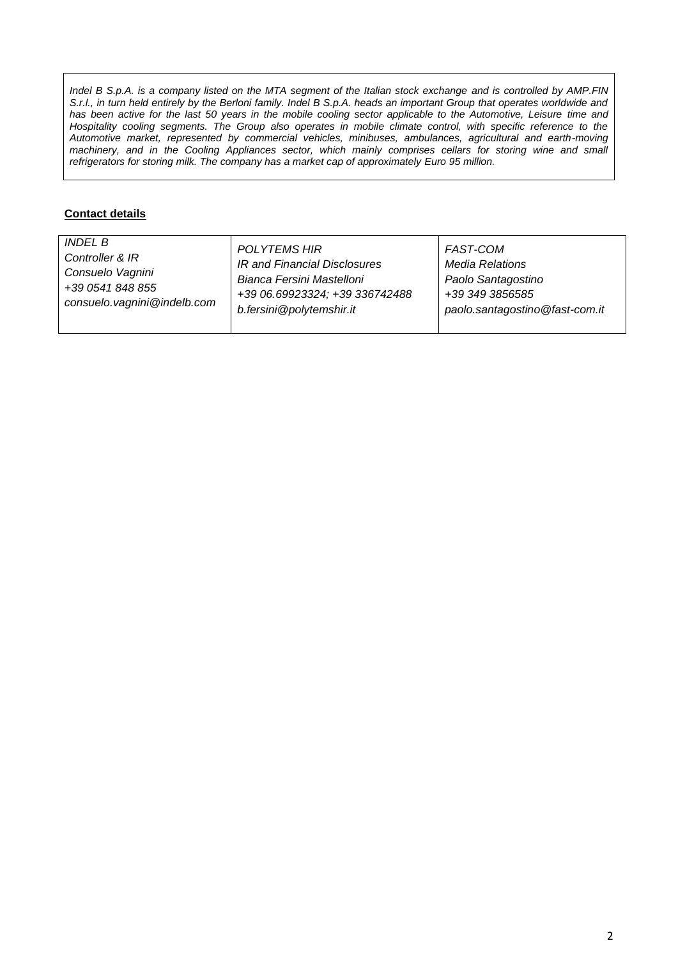*Indel B S.p.A. is a company listed on the MTA segment of the Italian stock exchange and is controlled by AMP.FIN S.r.l., in turn held entirely by the Berloni family. Indel B S.p.A. heads an important Group that operates worldwide and* has been active for the last 50 years in the mobile cooling sector applicable to the Automotive, Leisure time and Hospitality cooling segments. The Group also operates in mobile climate control, with specific reference to the *Automotive market, represented by commercial vehicles, minibuses, ambulances, agricultural and earth-moving machinery, and in the Cooling Appliances sector, which mainly comprises cellars for storing wine and small refrigerators for storing milk. The company has a market cap of approximately Euro 95 million.*

## **Contact details**

| <b>INDEL B</b>              | <b>POLYTEMS HIR</b>            | FAST-COM                       |
|-----------------------------|--------------------------------|--------------------------------|
| Controller & IR             | IR and Financial Disclosures   | <b>Media Relations</b>         |
| Consuelo Vagnini            | Bianca Fersini Mastelloni      | Paolo Santagostino             |
| +39 0541 848 855            | +39 06.69923324; +39 336742488 | +39 349 3856585                |
| consuelo.vagnini@indelb.com | b.fersini@polytemshir.it       | paolo.santagostino@fast-com.it |